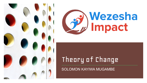



# Theory of Change

SOLOMON KAYIWA MUGAMBE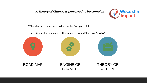### *A Theory of Change is perceived to be complex.*



**\***Theories of change are actually simpler than you think.

The ToC is just a road map. – It is centered around the **How & Why?**







ROAD MAP ENGINE OF CHANGE.

THEORY OF ACTION.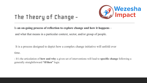

## The Theory of Change -

Is **an on-going process of reflection to explore change and how it happens** –

and what that means in a particular context, sector, and/or group of people.

 It is a process designed to depict how a complex change initiative will unfold over time.

- It's the articulation of **how and why** a given set of interventions will lead to **specific change** following a generally straightforward **"if/then"** logic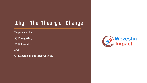## Why - The Theory of Change

#### Helps you to be:

**A) Thoughtful,** 

**B) Deliberate,** 

**and** 

**C) Effective in our interventions.**

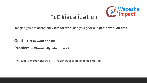

Imagine you are **chronically late for work** and your goal is to **get to work on time**

**Goal – Get to work on time**

**Problem – Chronically late for work**

ToC - **Solutions/interventions** MUST match the **root causes of the problems**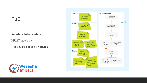### ToC

### **Solutions/interventions**

#### MUST match the

**Root causes of the problems**



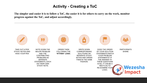### **Activity - Creating a ToC**

**The simpler and easier it is to follow a ToC, the easier it is for others to carry on the work, monitor progress against the ToC, and adjust accordingly.**